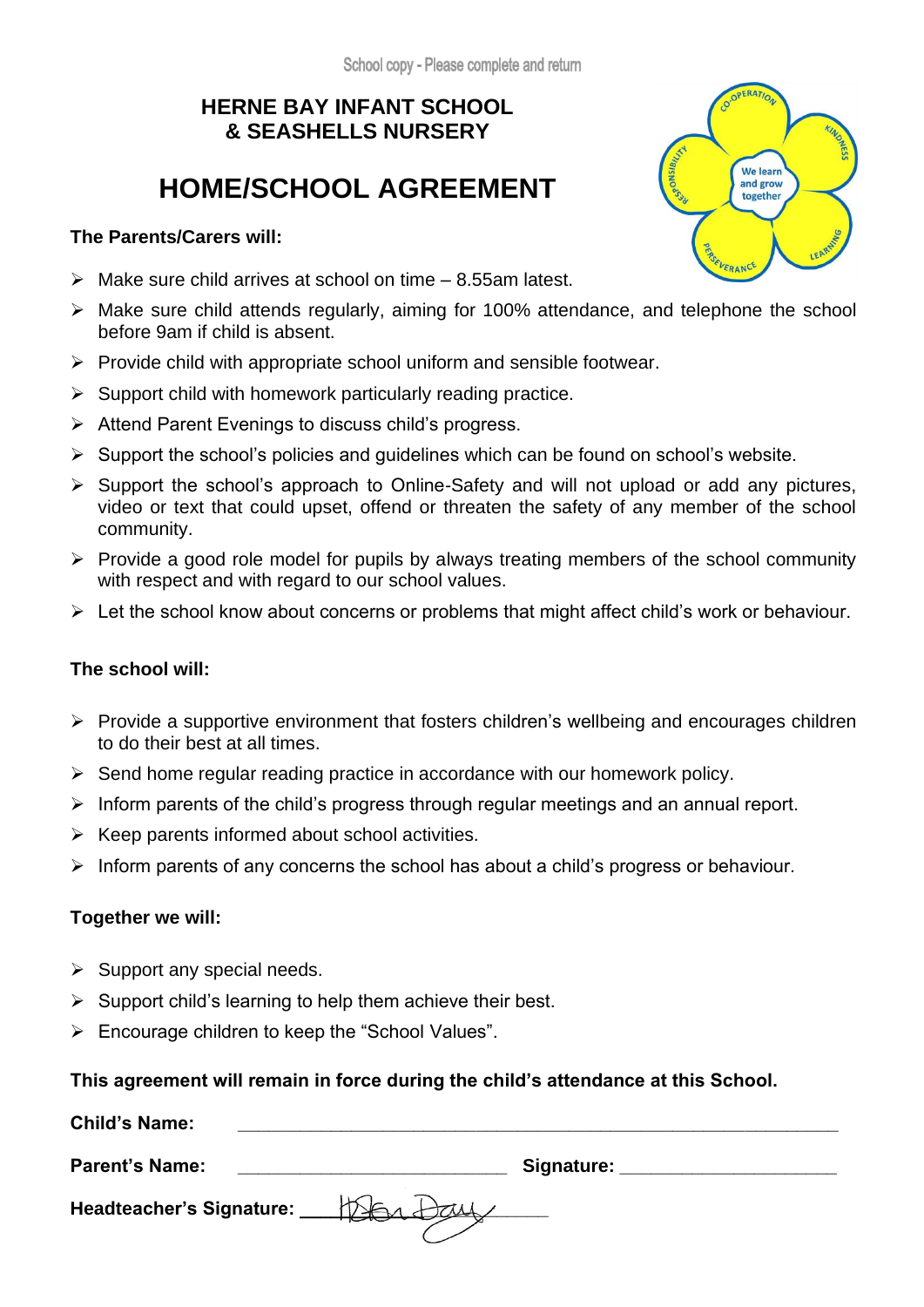## **HERNE BAY INFANT SCHOOL & SEASHELLS NURSERY**

## **HOME/SCHOOL AGREEMENT**

#### **The Parents/Carers will:**

- $\triangleright$  Make sure child arrives at school on time 8.55am latest.
- ➢ Make sure child attends regularly, aiming for 100% attendance, and telephone the school before 9am if child is absent.
- $\triangleright$  Provide child with appropriate school uniform and sensible footwear.
- ➢ Support child with homework particularly reading practice.
- ➢ Attend Parent Evenings to discuss child's progress.
- $\triangleright$  Support the school's policies and guidelines which can be found on school's website.
- ➢ Support the school's approach to Online-Safety and will not upload or add any pictures, video or text that could upset, offend or threaten the safety of any member of the school community.
- ➢ Provide a good role model for pupils by always treating members of the school community with respect and with regard to our school values.
- ➢ Let the school know about concerns or problems that might affect child's work or behaviour.

### **The school will:**

- ➢ Provide a supportive environment that fosters children's wellbeing and encourages children to do their best at all times.
- ➢ Send home regular reading practice in accordance with our homework policy.
- $\triangleright$  Inform parents of the child's progress through regular meetings and an annual report.
- $\triangleright$  Keep parents informed about school activities.
- $\triangleright$  Inform parents of any concerns the school has about a child's progress or behaviour.

### **Together we will:**

- $\triangleright$  Support any special needs.
- $\triangleright$  Support child's learning to help them achieve their best.
- ➢ Encourage children to keep the "School Values".

### **This agreement will remain in force during the child's attendance at this School.**

| <b>Child's Name:</b>            |               |  |
|---------------------------------|---------------|--|
| <b>Parent's Name:</b>           | Signature:    |  |
| <b>Headteacher's Signature:</b> | $\mathcal{V}$ |  |